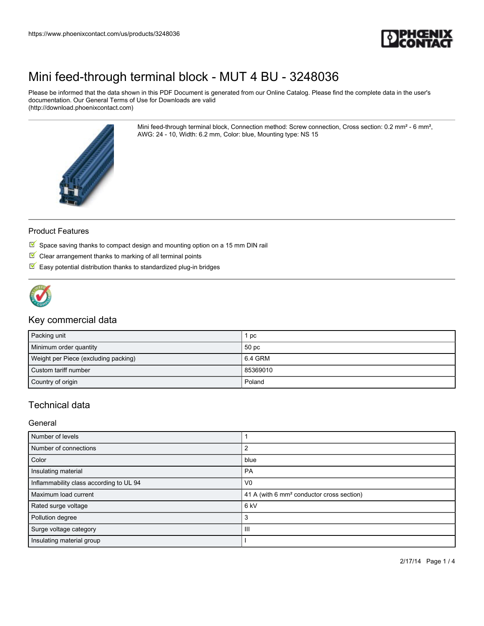

Please be informed that the data shown in this PDF Document is generated from our Online Catalog. Please find the complete data in the user's documentation. Our General Terms of Use for Downloads are valid (http://download.phoenixcontact.com)

> Mini feed-through terminal block, Connection method: Screw connection, Cross section: 0.2 mm² - 6 mm², AWG: 24 - 10, Width: 6.2 mm, Color: blue, Mounting type: NS 15



### Product Features

- $\overline{\mathbb{M}}$  Space saving thanks to compact design and mounting option on a 15 mm DIN rail
- $\blacksquare$  Clear arrangement thanks to marking of all terminal points
- $\blacksquare$  Easy potential distribution thanks to standardized plug-in bridges



### Key commercial data

| Packing unit                         | рc               |
|--------------------------------------|------------------|
| Minimum order quantity               | 50 <sub>pc</sub> |
| Weight per Piece (excluding packing) | 6.4 GRM          |
| Custom tariff number                 | 85369010         |
| Country of origin                    | Poland           |

## Technical data

General

| Number of levels                        |                                                       |
|-----------------------------------------|-------------------------------------------------------|
| Number of connections                   | 2                                                     |
| Color                                   | blue                                                  |
| Insulating material                     | <b>PA</b>                                             |
| Inflammability class according to UL 94 | V <sub>0</sub>                                        |
| Maximum load current                    | 41 A (with 6 mm <sup>2</sup> conductor cross section) |
| Rated surge voltage                     | 6 kV                                                  |
| Pollution degree                        | 3                                                     |
| Surge voltage category                  | Ш                                                     |
| Insulating material group               |                                                       |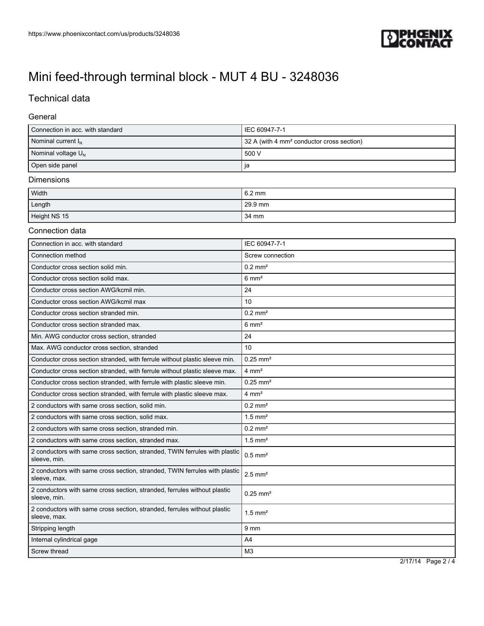

## Technical data

### General

| Connection in acc. with standard | IEC 60947-7-1                                         |
|----------------------------------|-------------------------------------------------------|
| Nominal current $I_{N}$          | 32 A (with 4 mm <sup>2</sup> conductor cross section) |
| Nominal voltage $U_N$            | 500 V                                                 |
| Open side panel                  | ıa                                                    |

#### Dimensions

| Width        | 6.2 mm  |
|--------------|---------|
| Length       | 29.9 mm |
| Height NS 15 | 34 mm   |

### Connection data

| Connection in acc. with standard                                                           | IEC 60947-7-1          |
|--------------------------------------------------------------------------------------------|------------------------|
| Connection method                                                                          | Screw connection       |
| Conductor cross section solid min.                                                         | $0.2$ mm <sup>2</sup>  |
| Conductor cross section solid max.                                                         | $6 \text{ mm}^2$       |
| Conductor cross section AWG/kcmil min.                                                     | 24                     |
| Conductor cross section AWG/kcmil max                                                      | 10                     |
| Conductor cross section stranded min.                                                      | $0.2$ mm <sup>2</sup>  |
| Conductor cross section stranded max.                                                      | $6 \text{ mm}^2$       |
| Min. AWG conductor cross section, stranded                                                 | 24                     |
| Max. AWG conductor cross section, stranded                                                 | 10                     |
| Conductor cross section stranded, with ferrule without plastic sleeve min.                 | $0.25$ mm <sup>2</sup> |
| Conductor cross section stranded, with ferrule without plastic sleeve max.                 | $4 \text{ mm}^2$       |
| Conductor cross section stranded, with ferrule with plastic sleeve min.                    | $0.25$ mm <sup>2</sup> |
| Conductor cross section stranded, with ferrule with plastic sleeve max.                    | $4 \text{ mm}^2$       |
| 2 conductors with same cross section, solid min.                                           | $0.2$ mm <sup>2</sup>  |
| 2 conductors with same cross section, solid max.                                           | $1.5$ mm <sup>2</sup>  |
| 2 conductors with same cross section, stranded min.                                        | $0.2$ mm <sup>2</sup>  |
| 2 conductors with same cross section, stranded max.                                        | $1.5$ mm <sup>2</sup>  |
| 2 conductors with same cross section, stranded, TWIN ferrules with plastic<br>sleeve, min. | $0.5$ mm <sup>2</sup>  |
| 2 conductors with same cross section, stranded, TWIN ferrules with plastic<br>sleeve, max. | $2.5$ mm <sup>2</sup>  |
| 2 conductors with same cross section, stranded, ferrules without plastic<br>sleeve, min.   | $0.25$ mm <sup>2</sup> |
| 2 conductors with same cross section, stranded, ferrules without plastic<br>sleeve, max.   | $1.5$ mm <sup>2</sup>  |
| Stripping length                                                                           | 9 <sub>mm</sub>        |
| Internal cylindrical gage                                                                  | A <sub>4</sub>         |
| Screw thread                                                                               | M <sub>3</sub>         |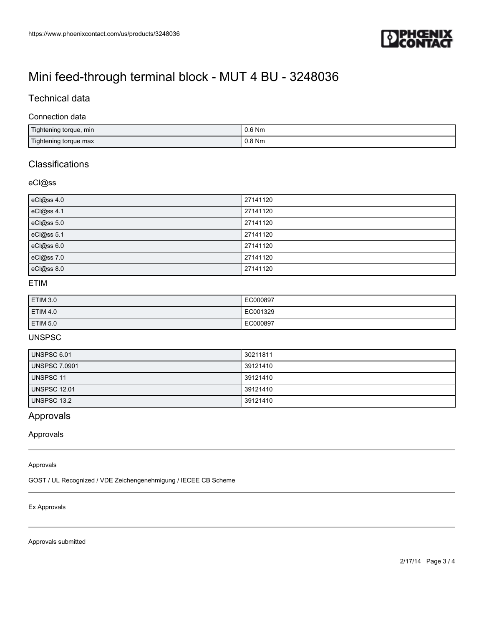

## Technical data

#### Connection data

| Tightening torque, min | $0.6$ Nm |
|------------------------|----------|
| Tightening torque max  | $0.8$ Nm |

## **Classifications**

### eCl@ss

| eCl@ss 4.0 | 27141120 |
|------------|----------|
| eCl@ss 4.1 | 27141120 |
| eCl@ss 5.0 | 27141120 |
| eCl@ss 5.1 | 27141120 |
| eCl@ss 6.0 | 27141120 |
| eCl@ss 7.0 | 27141120 |
| eCl@ss 8.0 | 27141120 |

## ETIM

| ETIM 3.0 | EC000897 |
|----------|----------|
| ETIM 4.0 | EC001329 |
| ETIM 5.0 | EC000897 |

## UNSPSC

| UNSPSC 6.01          | 30211811 |
|----------------------|----------|
| <b>UNSPSC 7.0901</b> | 39121410 |
| <b>UNSPSC 11</b>     | 39121410 |
| <b>UNSPSC 12.01</b>  | 39121410 |
| <b>UNSPSC 13.2</b>   | 39121410 |

## Approvals

### Approvals

#### Approvals

GOST / UL Recognized / VDE Zeichengenehmigung / IECEE CB Scheme

#### Ex Approvals

Approvals submitted